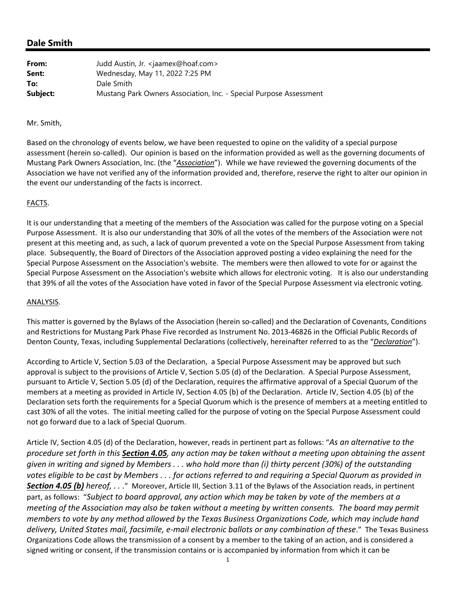# **Dale Smith**

| From:    | Judd Austin, Jr. <jaamex@hoaf.com></jaamex@hoaf.com>               |
|----------|--------------------------------------------------------------------|
| Sent:    | Wednesday, May 11, 2022 7:25 PM                                    |
| To:      | Dale Smith                                                         |
| Subject: | Mustang Park Owners Association, Inc. - Special Purpose Assessment |

#### Mr. Smith,

Based on the chronology of events below, we have been requested to opine on the validity of a special purpose assessment (herein so‐called). Our opinion is based on the information provided as well as the governing documents of Mustang Park Owners Association, Inc. (the "*Association*"). While we have reviewed the governing documents of the Association we have not verified any of the information provided and, therefore, reserve the right to alter our opinion in the event our understanding of the facts is incorrect.

## FACTS.

It is our understanding that a meeting of the members of the Association was called for the purpose voting on a Special Purpose Assessment. It is also our understanding that 30% of all the votes of the members of the Association were not present at this meeting and, as such, a lack of quorum prevented a vote on the Special Purpose Assessment from taking place. Subsequently, the Board of Directors of the Association approved posting a video explaining the need for the Special Purpose Assessment on the Association's website. The members were then allowed to vote for or against the Special Purpose Assessment on the Association's website which allows for electronic voting. It is also our understanding that 39% of all the votes of the Association have voted in favor of the Special Purpose Assessment via electronic voting.

#### ANALYSIS.

This matter is governed by the Bylaws of the Association (herein so-called) and the Declaration of Covenants, Conditions and Restrictions for Mustang Park Phase Five recorded as Instrument No. 2013‐46826 in the Official Public Records of Denton County, Texas, including Supplemental Declarations (collectively, hereinafter referred to as the "*Declaration*").

According to Article V, Section 5.03 of the Declaration, a Special Purpose Assessment may be approved but such approval is subject to the provisions of Article V, Section 5.05 (d) of the Declaration. A Special Purpose Assessment, pursuant to Article V, Section 5.05 (d) of the Declaration, requires the affirmative approval of a Special Quorum of the members at a meeting as provided in Article IV, Section 4.05 (b) of the Declaration. Article IV, Section 4.05 (b) of the Declaration sets forth the requirements for a Special Quorum which is the presence of members at a meeting entitled to cast 30% of all the votes. The initial meeting called for the purpose of voting on the Special Purpose Assessment could not go forward due to a lack of Special Quorum.

Article IV, Section 4.05 (d) of the Declaration, however, reads in pertinent part as follows: "*As an alternative to the* procedure set forth in this Section 4.05, any action may be taken without a meeting upon obtaining the assent given in writing and signed by Members . . . who hold more than (i) thirty percent (30%) of the outstanding votes eligible to be cast by Members . . . for actions referred to and requiring a Special Quorum as provided in *Section 4.05 (b) hereof, . . .*" Moreover, Article III, Section 3.11 of the Bylaws of the Association reads, in pertinent part, as follows: "*Subject to board approval, any action which may be taken by vote of the members at a* meeting of the Association may also be taken without a meeting by written consents. The board may permit *members to vote by any method allowed by the Texas Business Organizations Code, which may include hand delivery, United States mail, facsimile, e‐mail electronic ballots or any combination of these*." The Texas Business Organizations Code allows the transmission of a consent by a member to the taking of an action, and is considered a signed writing or consent, if the transmission contains or is accompanied by information from which it can be